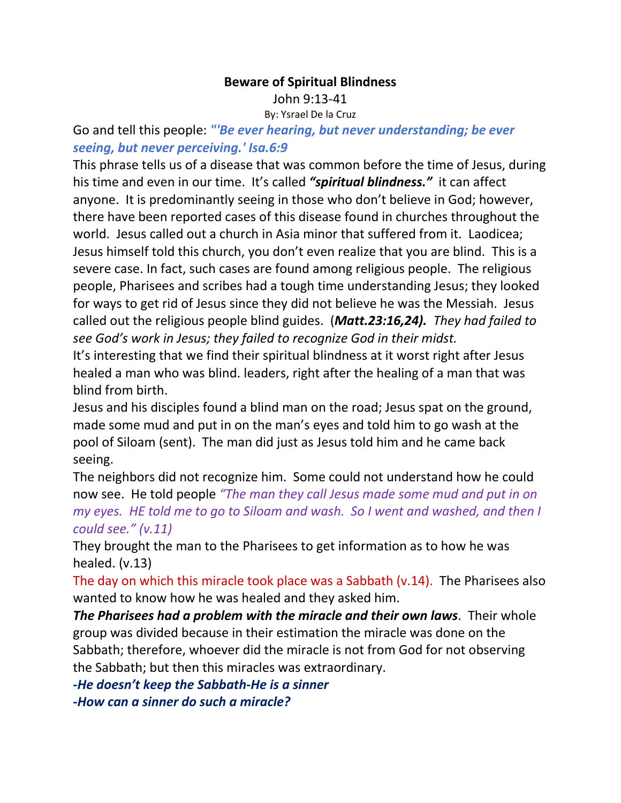#### **Beware of Spiritual Blindness**

John 9:13-41

By: Ysrael De la Cruz

Go and tell this people: *"'Be ever hearing, but never understanding; be ever seeing, but never perceiving.' Isa.6:9*

This phrase tells us of a disease that was common before the time of Jesus, during his time and even in our time. It's called *"spiritual blindness."* it can affect anyone. It is predominantly seeing in those who don't believe in God; however, there have been reported cases of this disease found in churches throughout the world. Jesus called out a church in Asia minor that suffered from it. Laodicea; Jesus himself told this church, you don't even realize that you are blind. This is a severe case. In fact, such cases are found among religious people. The religious people, Pharisees and scribes had a tough time understanding Jesus; they looked for ways to get rid of Jesus since they did not believe he was the Messiah. Jesus called out the religious people blind guides. (*Matt.23:16,24). They had failed to see God's work in Jesus; they failed to recognize God in their midst.*

It's interesting that we find their spiritual blindness at it worst right after Jesus healed a man who was blind. leaders, right after the healing of a man that was blind from birth.

Jesus and his disciples found a blind man on the road; Jesus spat on the ground, made some mud and put in on the man's eyes and told him to go wash at the pool of Siloam (sent). The man did just as Jesus told him and he came back seeing.

The neighbors did not recognize him. Some could not understand how he could now see. He told people *"The man they call Jesus made some mud and put in on my eyes. HE told me to go to Siloam and wash. So I went and washed, and then I could see." (v.11)*

They brought the man to the Pharisees to get information as to how he was healed. (v.13)

The day on which this miracle took place was a Sabbath (v.14). The Pharisees also wanted to know how he was healed and they asked him.

*The Pharisees had a problem with the miracle and their own laws*. Their whole group was divided because in their estimation the miracle was done on the Sabbath; therefore, whoever did the miracle is not from God for not observing the Sabbath; but then this miracles was extraordinary.

*-He doesn't keep the Sabbath-He is a sinner*

*-How can a sinner do such a miracle?*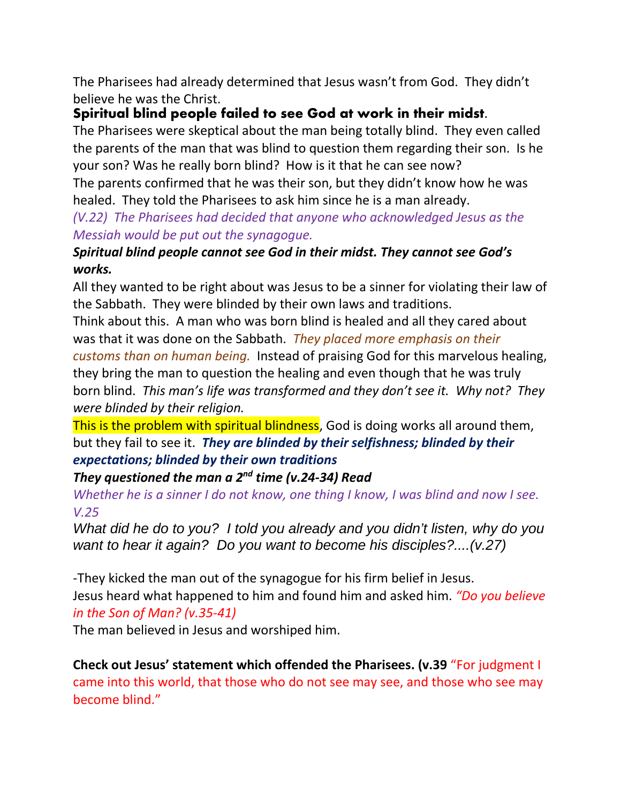The Pharisees had already determined that Jesus wasn't from God. They didn't believe he was the Christ.

# **Spiritual blind people failed to see God at work in their midst.**

The Pharisees were skeptical about the man being totally blind. They even called the parents of the man that was blind to question them regarding their son. Is he your son? Was he really born blind? How is it that he can see now?

The parents confirmed that he was their son, but they didn't know how he was healed. They told the Pharisees to ask him since he is a man already.

### *(V.22) The Pharisees had decided that anyone who acknowledged Jesus as the Messiah would be put out the synagogue.*

## *Spiritual blind people cannot see God in their midst. They cannot see God's works.*

All they wanted to be right about was Jesus to be a sinner for violating their law of the Sabbath. They were blinded by their own laws and traditions.

Think about this. A man who was born blind is healed and all they cared about was that it was done on the Sabbath. *They placed more emphasis on their* 

*customs than on human being.* Instead of praising God for this marvelous healing, they bring the man to question the healing and even though that he was truly born blind. *This man's life was transformed and they don't see it. Why not? They were blinded by their religion.*

This is the problem with spiritual blindness, God is doing works all around them, but they fail to see it. *They are blinded by their selfishness; blinded by their expectations; blinded by their own traditions*

### *They questioned the man a 2nd time (v.24-34) Read*

*Whether he is a sinner I do not know, one thing I know, I was blind and now I see. V.25*

*What did he do to you? I told you already and you didn't listen, why do you want to hear it again? Do you want to become his disciples?....(v.27)*

-They kicked the man out of the synagogue for his firm belief in Jesus. Jesus heard what happened to him and found him and asked him. *"Do you believe in the Son of Man? (v.35-41)*

The man believed in Jesus and worshiped him.

**Check out Jesus' statement which offended the Pharisees. (v.39** "For judgment I came into this world, that those who do not see may see, and those who see may become blind."